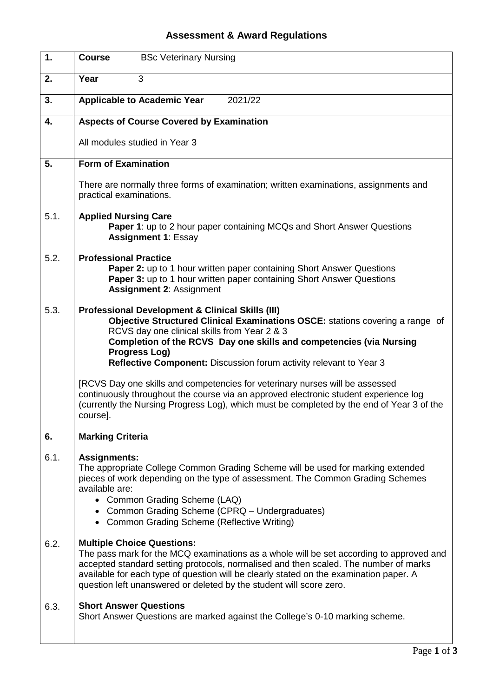## **Assessment & Award Regulations**

| 1.   | <b>BSc Veterinary Nursing</b><br><b>Course</b>                                                                                                                                                                                                                                                                                                                                                                                                                                                                                            |
|------|-------------------------------------------------------------------------------------------------------------------------------------------------------------------------------------------------------------------------------------------------------------------------------------------------------------------------------------------------------------------------------------------------------------------------------------------------------------------------------------------------------------------------------------------|
| 2.   | Year<br>3                                                                                                                                                                                                                                                                                                                                                                                                                                                                                                                                 |
| 3.   | <b>Applicable to Academic Year</b><br>2021/22                                                                                                                                                                                                                                                                                                                                                                                                                                                                                             |
| 4.   | <b>Aspects of Course Covered by Examination</b>                                                                                                                                                                                                                                                                                                                                                                                                                                                                                           |
|      | All modules studied in Year 3                                                                                                                                                                                                                                                                                                                                                                                                                                                                                                             |
| 5.   | <b>Form of Examination</b>                                                                                                                                                                                                                                                                                                                                                                                                                                                                                                                |
|      | There are normally three forms of examination; written examinations, assignments and<br>practical examinations.                                                                                                                                                                                                                                                                                                                                                                                                                           |
| 5.1. | <b>Applied Nursing Care</b><br>Paper 1: up to 2 hour paper containing MCQs and Short Answer Questions<br><b>Assignment 1: Essay</b>                                                                                                                                                                                                                                                                                                                                                                                                       |
| 5.2. | <b>Professional Practice</b><br><b>Paper 2:</b> up to 1 hour written paper containing Short Answer Questions<br>Paper 3: up to 1 hour written paper containing Short Answer Questions<br><b>Assignment 2: Assignment</b>                                                                                                                                                                                                                                                                                                                  |
| 5.3. | <b>Professional Development &amp; Clinical Skills (III)</b><br>Objective Structured Clinical Examinations OSCE: stations covering a range of<br>RCVS day one clinical skills from Year 2 & 3<br>Completion of the RCVS Day one skills and competencies (via Nursing<br><b>Progress Log)</b><br>Reflective Component: Discussion forum activity relevant to Year 3<br>[RCVS Day one skills and competencies for veterinary nurses will be assessed<br>continuously throughout the course via an approved electronic student experience log |
|      | (currently the Nursing Progress Log), which must be completed by the end of Year 3 of the<br>course].                                                                                                                                                                                                                                                                                                                                                                                                                                     |
| 6.   | <b>Marking Criteria</b>                                                                                                                                                                                                                                                                                                                                                                                                                                                                                                                   |
| 6.1. | <b>Assignments:</b><br>The appropriate College Common Grading Scheme will be used for marking extended<br>pieces of work depending on the type of assessment. The Common Grading Schemes<br>available are:<br>• Common Grading Scheme (LAQ)<br>• Common Grading Scheme (CPRQ - Undergraduates)<br>• Common Grading Scheme (Reflective Writing)                                                                                                                                                                                            |
| 6.2. | <b>Multiple Choice Questions:</b><br>The pass mark for the MCQ examinations as a whole will be set according to approved and<br>accepted standard setting protocols, normalised and then scaled. The number of marks<br>available for each type of question will be clearly stated on the examination paper. A<br>question left unanswered or deleted by the student will score zero.                                                                                                                                                     |
| 6.3. | <b>Short Answer Questions</b><br>Short Answer Questions are marked against the College's 0-10 marking scheme.                                                                                                                                                                                                                                                                                                                                                                                                                             |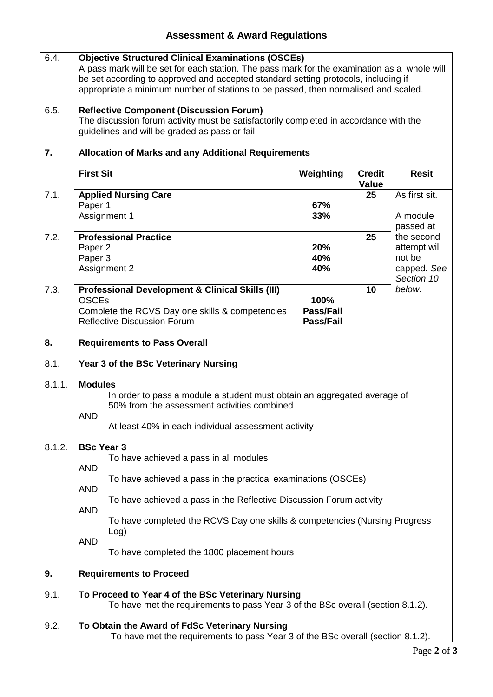## **Assessment & Award Regulations**

| 6.4.   | <b>Objective Structured Clinical Examinations (OSCEs)</b><br>A pass mark will be set for each station. The pass mark for the examination as a whole will<br>be set according to approved and accepted standard setting protocols, including if<br>appropriate a minimum number of stations to be passed, then normalised and scaled. |                                |                        |                                                                   |  |
|--------|--------------------------------------------------------------------------------------------------------------------------------------------------------------------------------------------------------------------------------------------------------------------------------------------------------------------------------------|--------------------------------|------------------------|-------------------------------------------------------------------|--|
| 6.5.   | <b>Reflective Component (Discussion Forum)</b><br>The discussion forum activity must be satisfactorily completed in accordance with the<br>guidelines and will be graded as pass or fail.                                                                                                                                            |                                |                        |                                                                   |  |
| 7.     | <b>Allocation of Marks and any Additional Requirements</b>                                                                                                                                                                                                                                                                           |                                |                        |                                                                   |  |
|        | <b>First Sit</b>                                                                                                                                                                                                                                                                                                                     | Weighting                      | <b>Credit</b><br>Value | <b>Resit</b>                                                      |  |
| 7.1.   | <b>Applied Nursing Care</b>                                                                                                                                                                                                                                                                                                          |                                | 25                     | As first sit.                                                     |  |
|        | Paper 1<br>Assignment 1                                                                                                                                                                                                                                                                                                              | 67%<br>33%                     |                        | A module<br>passed at                                             |  |
| 7.2.   | <b>Professional Practice</b><br>Paper 2<br>Paper 3<br>Assignment 2                                                                                                                                                                                                                                                                   | 20%<br>40%<br>40%              | 25                     | the second<br>attempt will<br>not be<br>capped. See<br>Section 10 |  |
| 7.3.   | <b>Professional Development &amp; Clinical Skills (III)</b><br><b>OSCEs</b><br>Complete the RCVS Day one skills & competencies<br><b>Reflective Discussion Forum</b>                                                                                                                                                                 | 100%<br>Pass/Fail<br>Pass/Fail | 10                     | below.                                                            |  |
| 8.     | <b>Requirements to Pass Overall</b>                                                                                                                                                                                                                                                                                                  |                                |                        |                                                                   |  |
| 8.1.   | Year 3 of the BSc Veterinary Nursing                                                                                                                                                                                                                                                                                                 |                                |                        |                                                                   |  |
| 8.1.1. | <b>Modules</b><br>In order to pass a module a student must obtain an aggregated average of<br>50% from the assessment activities combined<br><b>AND</b><br>At least 40% in each individual assessment activity                                                                                                                       |                                |                        |                                                                   |  |
| 8.1.2. | <b>BSc Year 3</b><br>To have achieved a pass in all modules                                                                                                                                                                                                                                                                          |                                |                        |                                                                   |  |
|        | <b>AND</b><br>To have achieved a pass in the practical examinations (OSCEs)<br><b>AND</b>                                                                                                                                                                                                                                            |                                |                        |                                                                   |  |
|        | To have achieved a pass in the Reflective Discussion Forum activity                                                                                                                                                                                                                                                                  |                                |                        |                                                                   |  |
|        | <b>AND</b><br>To have completed the RCVS Day one skills & competencies (Nursing Progress)<br>Log)                                                                                                                                                                                                                                    |                                |                        |                                                                   |  |
|        | <b>AND</b><br>To have completed the 1800 placement hours                                                                                                                                                                                                                                                                             |                                |                        |                                                                   |  |
| 9.     | <b>Requirements to Proceed</b>                                                                                                                                                                                                                                                                                                       |                                |                        |                                                                   |  |
| 9.1.   | To Proceed to Year 4 of the BSc Veterinary Nursing<br>To have met the requirements to pass Year 3 of the BSc overall (section 8.1.2).                                                                                                                                                                                                |                                |                        |                                                                   |  |
| 9.2.   | To Obtain the Award of FdSc Veterinary Nursing<br>To have met the requirements to pass Year 3 of the BSc overall (section 8.1.2).                                                                                                                                                                                                    |                                |                        |                                                                   |  |